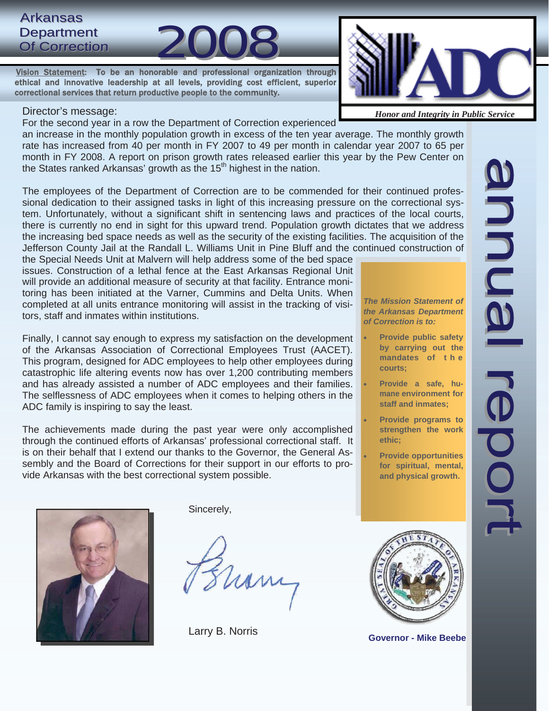# Arkansas Department<br>Of Correction Arkansas<br>Department<br>Of Correction 2008

 Vision Statement: To be an honorable and professional organization through ethical and innovative leadership at all levels, providing cost efficient, superior correctional services that return productive people to the community.

#### Director's message:

For the second year in a row the Department of Correction experienced

an increase in the monthly population growth in excess of the ten year average. The monthly growth rate has increased from 40 per month in FY 2007 to 49 per month in calendar year 2007 to 65 per month in FY 2008. A report on prison growth rates released earlier this year by the Pew Center on the States ranked Arkansas' growth as the  $15<sup>th</sup>$  highest in the nation.

The employees of the Department of Correction are to be commended for their continued professional dedication to their assigned tasks in light of this increasing pressure on the correctional system. Unfortunately, without a significant shift in sentencing laws and practices of the local courts, there is currently no end in sight for this upward trend. Population growth dictates that we address the increasing bed space needs as well as the security of the existing facilities. The acquisition of the Jefferson County Jail at the Randall L. Williams Unit in Pine Bluff and the continued construction of

the Special Needs Unit at Malvern will help address some of the bed space issues. Construction of a lethal fence at the East Arkansas Regional Unit will provide an additional measure of security at that facility. Entrance monitoring has been initiated at the Varner, Cummins and Delta Units. When completed at all units entrance monitoring will assist in the tracking of visitors, staff and inmates within institutions.

Finally, I cannot say enough to express my satisfaction on the development of the Arkansas Association of Correctional Employees Trust (AACET). This program, designed for ADC employees to help other employees during catastrophic life altering events now has over 1,200 contributing members and has already assisted a number of ADC employees and their families. The selflessness of ADC employees when it comes to helping others in the ADC family is inspiring to say the least.

The achievements made during the past year were only accomplished through the continued efforts of Arkansas' professional correctional staff. It is on their behalf that I extend our thanks to the Governor, the General Assembly and the Board of Corrections for their support in our efforts to provide Arkansas with the best correctional system possible.

*The Mission Statement of the Arkansas Department of Correction is to:* 

- **Provide public safety by carrying out the mandates of t h e courts;**
- Provide a safe, hu**mane environment for staff and inmates;**
- **Provide programs to strengthen the work ethic;**
- **Provide opportunities for spiritual, mental, and physical growth.**



Sincerely,

Larry B. Norris



**Governor - Mike Beebe** 



*Honor and Integrity in Public Service*

**Annual** 

 $\overrightarrow{0}$ 

OOL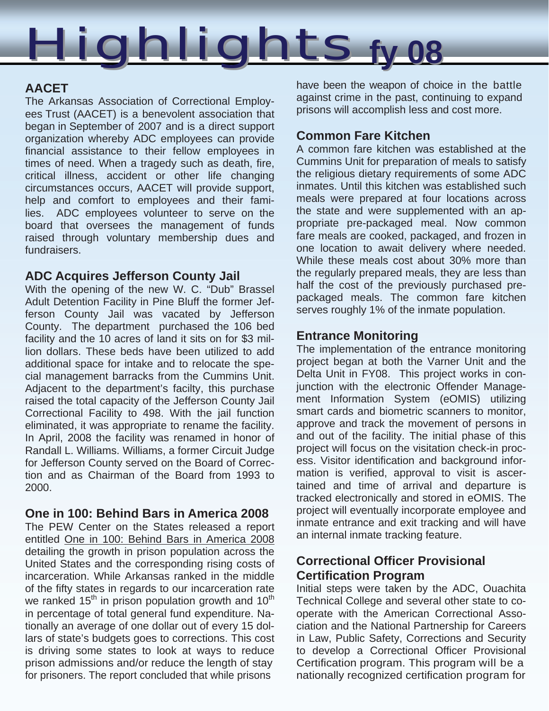

# **AACET**

 The Arkansas Association of Correctional Employ ees Trust (AACET) is a benevolent association that began in September of 2007 and is a direct support organization whereby ADC employees can provide financial assistance to their fellow employees in times of need. When a tragedy such as death, fire, critical illness, accident or other life changing circumstances occurs, AACET will provide support, help and comfort to employees and their fami lies. ADC employees volunteer to serve on the board that oversees the management of funds raised through voluntary membership dues and fundraisers.

## **ADC Acquires Jefferson County Jail**

With the opening of the new W. C. "Dub" Brassel Adult Detention Facility in Pine Bluff the former Jefferson County Jail was vacated by Jefferson County. The department purchased the 106 bed facility and the 10 acres of land it sits on for \$3 million dollars. These beds have been utilized to add additional space for intake and to relocate the special management barracks from the Cummins Unit. Adjacent to the department's facilty, this purchase raised the total capacity of the Jefferson County Jail Correctional Facility to 498. With the jail function eliminated, it was appropriate to rename the facility. In April, 2008 the facility was renamed in honor of Randall L. Williams. Williams, a former Circuit Judge for Jefferson County served on the Board of Correction and as Chairman of the Board from 1993 to 2000.

## **One in 100: Behind Bars in America 2008**

The PEW Center on the States released a report entitled One in 100: Behind Bars in America 2008 detailing the growth in prison population across the United States and the corresponding rising costs of incarceration. While Arkansas ranked in the middle of the fifty states in regards to our incarceration rate we ranked  $15<sup>th</sup>$  in prison population growth and  $10<sup>th</sup>$ in percentage of total general fund expenditure. Nationally an average of one dollar out of every 15 dollars of state's budgets goes to corrections. This cost is driving some states to look at ways to reduce prison admissions and/or reduce the length of stay for prisoners. The report concluded that while prisons

have been the weapon of choice in the battle against crime in the past, continuing to expand prisons will accomplish less and cost more.

# **Common Fare Kitchen**

A common fare kitchen was established at the Cummins Unit for preparation of meals to satisfy the religious dietary requirements of some ADC inmates. Until this kitchen was established such meals were prepared at four locations across the state and were supplemented with an appropriate pre-packaged meal. Now common fare meals are cooked, packaged, and frozen in one location to await delivery where needed. While these meals cost about 30% more than the regularly prepared meals, they are less than half the cost of the previously purchased prepackaged meals. The common fare kitchen serves roughly 1% of the inmate population.

# **Entrance Monitoring**

The implementation of the entrance monitoring project began at both the Varner Unit and the Delta Unit in FY08. This project works in conjunction with the electronic Offender Management Information System (eOMIS) utilizing smart cards and biometric scanners to monitor, approve and track the movement of persons in and out of the facility. The initial phase of this project will focus on the visitation check-in process. Visitor identification and background information is verified, approval to visit is ascertained and time of arrival and departure is tracked electronically and stored in eOMIS. The project will eventually incorporate employee and inmate entrance and exit tracking and will have an internal inmate tracking feature.

# **Correctional Officer Provisional Certification Program**

Initial steps were taken by the ADC, Ouachita Technical College and several other state to cooperate with the American Correctional Association and the National Partnership for Careers in Law, Public Safety, Corrections and Security to develop a Correctional Officer Provisional Certification program. This program will be a nationally recognized certification program for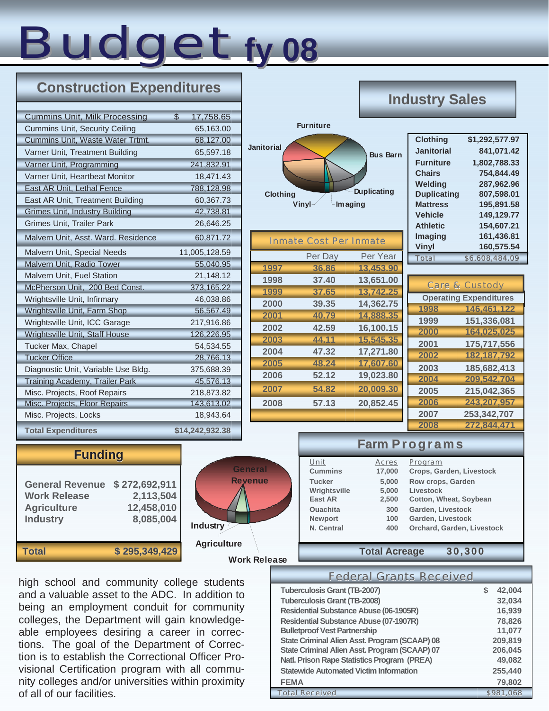# Budget ty 08 **fy 08**

# **Construction Expenditures**

| <b>Cummins Unit, Milk Processing</b>  | \$<br>17,758.65 |
|---------------------------------------|-----------------|
| <b>Cummins Unit, Security Ceiling</b> | 65,163.00       |
| Cummins Unit, Waste Water Trtmt.      | 68,127.00       |
| Varner Unit, Treatment Building       | 65,597.18       |
| Varner Unit, Programming              | 241,832.91      |
| Varner Unit, Heartbeat Monitor        | 18,471.43       |
| East AR Unit, Lethal Fence            | 788,128.98      |
| East AR Unit, Treatment Building      | 60,367.73       |
| <b>Grimes Unit, Industry Building</b> | 42,738.81       |
| <b>Grimes Unit, Trailer Park</b>      | 26,646.25       |
| Malvern Unit, Asst. Ward. Residence   | 60,871.72       |
| Malvern Unit, Special Needs           | 11,005,128.59   |
| Malvern Unit, Radio Tower             | 55,040.95       |
| Malvern Unit, Fuel Station            | 21,148.12       |
| McPherson Unit, 200 Bed Const.        | 373,165.22      |
| Wrightsville Unit, Infirmary          | 46,038.86       |
| Wrightsville Unit, Farm Shop          | 56,567.49       |
| Wrightsville Unit, ICC Garage         | 217,916.86      |
| Wrightsville Unit, Staff House        | 126,226.95      |
| Tucker Max, Chapel                    | 54,534.55       |
| <b>Tucker Office</b>                  | 28,766.13       |
| Diagnostic Unit, Variable Use Bldg.   | 375,688.39      |
| Training Academy, Trailer Park        | 45,576.13       |
| Misc. Projects, Roof Repairs          | 218,873.82      |
| Misc. Projects, Floor Repairs         | 143,613.02      |
| Misc. Projects, Locks                 | 18,943.64       |
| <b>Total Expenditures</b>             | \$14,242,932.38 |

|                                      |                               |                                           | Industr                                                                                                                       |
|--------------------------------------|-------------------------------|-------------------------------------------|-------------------------------------------------------------------------------------------------------------------------------|
|                                      | <b>Furniture</b>              |                                           |                                                                                                                               |
| <b>Janitorial</b><br><b>Clothing</b> | Vinyl                         | <b>Bus Barn</b><br>Duplicating<br>Imaging | Clothi<br>Janito<br><b>Furnit</b><br><b>Chairs</b><br>Weldi<br><b>Dupli</b><br><b>Mattre</b><br><b>Vehic</b><br><b>Athlet</b> |
|                                      | <b>Inmate Cost Per Inmate</b> |                                           | Imagi<br><b>Vinyl</b>                                                                                                         |
| 1997                                 | Per Day<br>36.86              | Per Year<br>13,453.90                     | <b>Total</b>                                                                                                                  |
| 1998                                 | 37.40                         | 13,651.00                                 |                                                                                                                               |
| 1999                                 | 37.65                         | 13,742.25                                 | C <sub>i</sub>                                                                                                                |
| 2000                                 | 39.35                         | 14,362.75                                 | Ope                                                                                                                           |
| 2001                                 | 40.79                         | 14,888.35                                 | 1998                                                                                                                          |
| 2002                                 | 42.59                         | 16,100.15                                 | 1999<br>2000                                                                                                                  |
| 2003                                 | 44.11                         | 15,545.35                                 | 2001                                                                                                                          |
| 2004                                 | 47.32                         | 17,271.80                                 | 2002                                                                                                                          |
| 2005                                 | 48.24                         | 17,607.60                                 | 2003                                                                                                                          |
| 2006                                 | 52.12                         | 19,023.80                                 | 2004                                                                                                                          |
| 2007                                 | 54.82                         | 20,009.30                                 | 2005                                                                                                                          |
| 2008                                 | 57.13                         | 20,852.45                                 | 2006                                                                                                                          |
|                                      |                               |                                           | 2007                                                                                                                          |
|                                      |                               |                                           | 2008                                                                                                                          |

# **V Sales**

| <b>Clothing</b>    | \$1,292,577.97 |
|--------------------|----------------|
| <b>Janitorial</b>  | 841.071.42     |
| <b>Furniture</b>   | 1,802,788.33   |
| <b>Chairs</b>      | 754.844.49     |
| Welding            | 287.962.96     |
| <b>Duplicating</b> | 807,598.01     |
| <b>Mattress</b>    | 195,891.58     |
| <b>Vehicle</b>     | 149.129.77     |
| <b>Athletic</b>    | 154,607.21     |
| Imaging            | 161,436.81     |
| <b>Vinyl</b>       | 160,575.54     |
| <b>Total</b>       | \$6,608,484.09 |
|                    |                |
|                    |                |

|      | <b>Care &amp; Custody</b>     |
|------|-------------------------------|
|      | <b>Operating Expenditures</b> |
| 1998 | 146,461,122                   |
| 1999 | 151,336,081                   |
| 2000 | 164,025,025                   |
| 2001 | 175,717,556                   |
| 2002 | 182, 187, 792                 |
| 2003 | 185,682,413                   |
| 2004 | 209,542,704                   |
| 2005 | 215,042,365                   |
| 2006 | 243,207,957                   |
| 2007 | 253,342,707                   |
| 2008 | 272,844,471                   |

# **Funding**

| <b>General Revenue</b> | \$272,692,911 |
|------------------------|---------------|
| <b>Work Release</b>    | 2,113,504     |
| <b>Agriculture</b>     | 12,458,010    |
| <b>Industry</b>        | 8,085,004     |
| <b>Total</b>           | \$295,349,429 |



|                 |                      | <b>Farm Programs</b>       |
|-----------------|----------------------|----------------------------|
| Unit            | <b>Acres</b>         | Program                    |
| <b>Cummins</b>  | 17,000               | Crops, Garden, Livestock   |
| <b>Tucker</b>   | 5,000                | Row crops, Garden          |
| Wrightsville    | 5,000                | Livestock                  |
| <b>East AR</b>  | 2,500                | Cotton, Wheat, Soybean     |
| <b>Ouachita</b> | 300                  | Garden, Livestock          |
| <b>Newport</b>  | 100                  | Garden, Livestock          |
| N. Central      | 400                  | Orchard, Garden, Livestock |
|                 | <b>Total Acreage</b> |                            |

high school and community college students and a valuable asset to the ADC. In addition to being an employment conduit for community colleges, the Department will gain knowledgeable employees desiring a career in corrections. The goal of the Department of Correction is to establish the Correctional Officer Provisional Certification program with all community colleges and/or universities within proximity of all of our facilities.

| <b>Federal Grants Received</b>                       |   |           |
|------------------------------------------------------|---|-----------|
| <b>Tuberculosis Grant (TB-2007)</b>                  | S | 42,004    |
| <b>Tuberculosis Grant (TB-2008)</b>                  |   | 32,034    |
| <b>Residential Substance Abuse (06-1905R)</b>        |   | 16,939    |
| <b>Residential Substance Abuse (07-1907R)</b>        |   | 78,826    |
| <b>Bulletproof Vest Partnership</b>                  |   | 11,077    |
| <b>State Criminal Alien Asst. Program (SCAAP) 08</b> |   | 209,819   |
| State Criminal Alien Asst. Program (SCAAP) 07        |   | 206,045   |
| <b>Natl. Prison Rape Statistics Program (PREA)</b>   |   | 49,082    |
| <b>Statewide Automated Victim Information</b>        |   | 255,440   |
| <b>FEMA</b>                                          |   | 79,802    |
| <b>Total Received</b>                                |   | \$981.068 |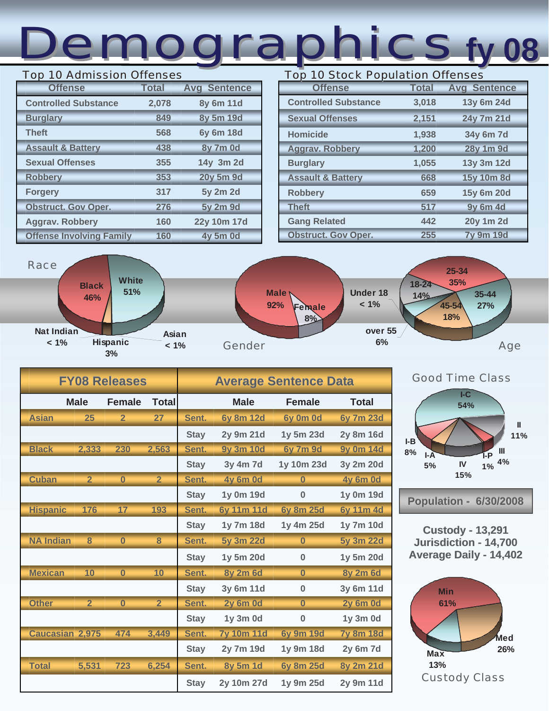# Demographics Demographics **fy 08**

### Top 10 Admission Offenses

| <b>Offense</b>                  | <b>Total</b> | <b>Avg Sentence</b> |
|---------------------------------|--------------|---------------------|
| <b>Controlled Substance</b>     | 2,078        | 8y 6m 11d           |
| <b>Burglary</b>                 | 849          | 8y 5m 19d           |
| <b>Theft</b>                    | 568          | <b>6y 6m 18d</b>    |
| <b>Assault &amp; Battery</b>    | 438          | <b>8y 7m 0d</b>     |
| <b>Sexual Offenses</b>          | 355          | 14y 3m 2d           |
| <b>Robbery</b>                  | 353          | 20y 5m 9d           |
| <b>Forgery</b>                  | 317          | 5y 2m 2d            |
| <b>Obstruct. Gov Oper.</b>      | 276          | 5y 2m 9d            |
| <b>Aggrav. Robbery</b>          | 160          | 22y 10m 17d         |
| <b>Offense Involving Family</b> | 160          | <b>4y 5m 0d</b>     |

# **Offense Total Avg Sentence Controlled Substance 3,018 13y 6m 24d Sexual Offenses 2,151 24y 7m 21d Homicide 1,938 34y 6m 7d Aggrav. Robbery 1,200 28y 1m 9d Burglary 1,055 13y 3m 12d Assault & Battery 668 15y 10m 8d Robbery 659 15y 6m 20d Theft 517 9y 6m 4d Gang Related 442 20y 1m 2d Obstruct. Gov Oper. 255 7y 9m 19d**  Top 10 Stock Population Offenses



|                        |                | <b>FY08 Releases</b> |                | <b>Average Sentence Data</b> |                   |                         |                  |  |  |
|------------------------|----------------|----------------------|----------------|------------------------------|-------------------|-------------------------|------------------|--|--|
|                        | <b>Male</b>    | <b>Female</b>        | <b>Total</b>   |                              | <b>Male</b>       | <b>Female</b>           | <b>Total</b>     |  |  |
| <b>Asian</b>           | 25             | $\overline{2}$       | 27             | Sent.                        | <b>6y 8m 12d</b>  | 6y 0m 0d                | 6y 7m 23d        |  |  |
|                        |                |                      |                | <b>Stay</b>                  | 2y 9m 21d         | 1y 5m 23d               | <b>2y 8m 16d</b> |  |  |
| <b>Black</b>           | 2,333          | 230                  | 2,563          | Sent.                        | <b>9y 3m 10d</b>  | <b>6y 7m 9d</b>         | <b>9y 0m 14d</b> |  |  |
|                        |                |                      |                | <b>Stay</b>                  | 3y 4m 7d          | 1y 10m 23d              | 3y 2m 20d        |  |  |
| <b>Cuban</b>           | $\overline{2}$ | $\bf{0}$             | $\overline{2}$ | Sent.                        | <b>4y 6m 0d</b>   | $\overline{0}$          | <b>4y 6m 0d</b>  |  |  |
|                        |                |                      |                | <b>Stay</b>                  | 1y 0m 19d         | $\bf{0}$                | 1y 0m 19d        |  |  |
| <b>Hispanic</b>        | 176            | 17                   | 193            | Sent.                        | <b>6y 11m 11d</b> | <b>6y 8m 25d</b>        | <b>6y 11m 4d</b> |  |  |
|                        |                |                      |                | <b>Stay</b>                  | 1y 7m 18d         | 1y 4m 25d               | 1y 7m 10d        |  |  |
| <b>NA Indian</b>       | 8              | $\overline{0}$       | 8              | Sent.                        | 5y 3m 22d         | $\overline{\mathbf{0}}$ | 5y 3m 22d        |  |  |
|                        |                |                      |                | <b>Stay</b>                  | 1y 5m 20d         | $\bf{0}$                | 1y 5m 20d        |  |  |
| <b>Mexican</b>         | 10             | $\overline{0}$       | 10             | Sent.                        | <b>8y 2m 6d</b>   | $\overline{0}$          | <b>8y 2m 6d</b>  |  |  |
|                        |                |                      |                | <b>Stay</b>                  | 3y 6m 11d         | $\bf{0}$                | 3y 6m 11d        |  |  |
| <b>Other</b>           | $\overline{2}$ | $\overline{0}$       | $\overline{2}$ | Sent.                        | <b>2y 6m 0d</b>   | $\bf{0}$                | <b>2y 6m 0d</b>  |  |  |
|                        |                |                      |                | <b>Stay</b>                  | 1y 3m 0d          | $\bf{0}$                | 1y 3m 0d         |  |  |
| <b>Caucasian 2,975</b> |                | 474                  | 3,449          | Sent.                        | <b>7y 10m 11d</b> | <b>6y 9m 19d</b>        | <b>7y 8m 18d</b> |  |  |
|                        |                |                      |                | <b>Stay</b>                  | 2y 7m 19d         | 1y 9m 18d               | 2y 6m 7d         |  |  |
| <b>Total</b>           | 5,531          | 723                  | 6,254          | Sent.                        | <b>8y 5m 1d</b>   | <b>6y 8m 25d</b>        | 8y 2m 21d        |  |  |
|                        |                |                      |                | <b>Stay</b>                  | 2y 10m 27d        | 1y 9m 25d               | 2y 9m 11d        |  |  |



**Custody - 13,291 Jurisdiction - 14,700 Average Daily - 14,402** 

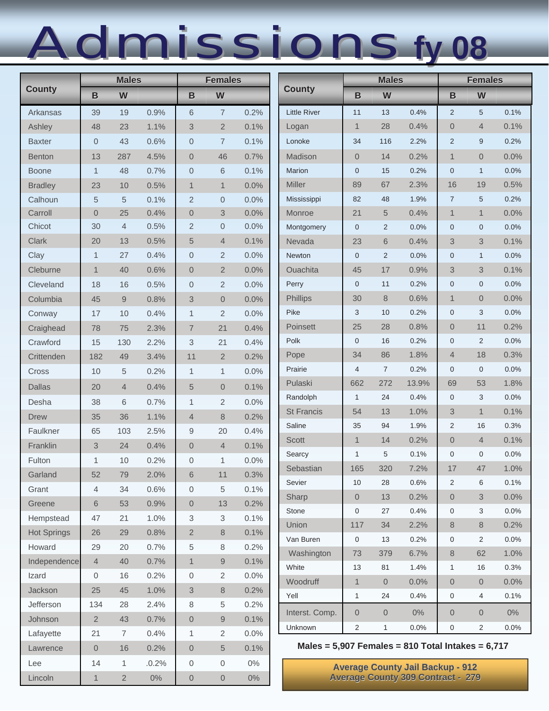# Admissions Admissions**fy 08**

|                    | <b>Males</b>   |                |       | <b>Females</b> |                  |       | <b>Males</b>                                          |                     |                     | <b>Females</b>                           |                  |                |       |
|--------------------|----------------|----------------|-------|----------------|------------------|-------|-------------------------------------------------------|---------------------|---------------------|------------------------------------------|------------------|----------------|-------|
| <b>County</b>      | B              | W              |       | B              | W                |       | <b>County</b>                                         | B                   | W                   |                                          | B                | W              |       |
| Arkansas           | 39             | 19             | 0.9%  | 6              | $\sqrt{7}$       | 0.2%  | <b>Little River</b>                                   | 11                  | 13                  | 0.4%                                     | 2                | 5              | 0.1%  |
| Ashley             | 48             | 23             | 1.1%  | 3              | $\overline{2}$   | 0.1%  | Logan                                                 | $\mathbf{1}$        | 28                  | 0.4%                                     | $\overline{0}$   | $\overline{4}$ | 0.1%  |
| <b>Baxter</b>      | 0              | 43             | 0.6%  | $\mathbf 0$    | $\overline{7}$   | 0.1%  | Lonoke                                                | 34                  | 116                 | 2.2%                                     | 2                | $9\,$          | 0.2%  |
| <b>Benton</b>      | 13             | 287            | 4.5%  | $\overline{0}$ | 46               | 0.7%  | Madison                                               | $\overline{0}$      | 14                  | 0.2%                                     | $\mathbf{1}$     | $\theta$       | 0.0%  |
| <b>Boone</b>       | $\mathbf{1}$   | 48             | 0.7%  | $\mathbf 0$    | 6                | 0.1%  | <b>Marion</b>                                         | $\mathbf{0}$        | 15                  | 0.2%                                     | $\mathbf 0$      | $\mathbf{1}$   | 0.0%  |
| <b>Bradley</b>     | 23             | 10             | 0.5%  | $\mathbf{1}$   | $\mathbf{1}$     | 0.0%  | <b>Miller</b>                                         | 89                  | 67                  | 2.3%                                     | 16               | 19             | 0.5%  |
| Calhoun            | 5              | 5              | 0.1%  | $\overline{2}$ | $\theta$         | 0.0%  | Mississippi                                           | 82                  | 48                  | 1.9%                                     | $\overline{7}$   | 5              | 0.2%  |
| Carroll            | 0              | 25             | 0.4%  | $\overline{0}$ | 3                | 0.0%  | Monroe                                                | 21                  | 5                   | 0.4%                                     | $\mathbf{1}$     | $\mathbf{1}$   | 0.0%  |
| Chicot             | 30             | $\overline{4}$ | 0.5%  | $\overline{2}$ | $\boldsymbol{0}$ | 0.0%  | Montgomery                                            | $\mathbf{0}$        | 2                   | 0.0%                                     | $\mathbf 0$      | $\mathbf 0$    | 0.0%  |
| Clark              | 20             | 13             | 0.5%  | 5              | $\overline{4}$   | 0.1%  | Nevada                                                | 23                  | 6                   | 0.4%                                     | 3                | 3              | 0.1%  |
| Clay               | 1              | 27             | 0.4%  | $\overline{0}$ | $\overline{2}$   | 0.0%  | Newton                                                | $\mathbf{0}$        | 2                   | 0.0%                                     | $\mathbf 0$      | $\mathbf{1}$   | 0.0%  |
| Cleburne           | $\mathbf{1}$   | 40             | 0.6%  | $\overline{0}$ | $\mathbf{2}$     | 0.0%  | <b>Ouachita</b>                                       | 45                  | 17                  | 0.9%                                     | 3                | 3              | 0.1%  |
| Cleveland          | 18             | 16             | 0.5%  | $\overline{0}$ | $\overline{2}$   | 0.0%  | Perry                                                 | $\mathbf 0$         | 11                  | 0.2%                                     | $\mathbf 0$      | $\mathbf 0$    | 0.0%  |
| Columbia           | 45             | 9              | 0.8%  | 3              | $\overline{0}$   | 0.0%  | Phillips                                              | 30                  | 8                   | 0.6%                                     | $\mathbf{1}$     | $\theta$       | 0.0%  |
| Conway             | 17             | 10             | 0.4%  | 1              | $\overline{2}$   | 0.0%  | Pike                                                  | 3                   | 10                  | 0.2%                                     | $\mathbf 0$      | 3              | 0.0%  |
| Craighead          | 78             | 75             | 2.3%  | $\overline{7}$ | 21               | 0.4%  | Poinsett                                              | 25                  | 28                  | 0.8%                                     | $\overline{0}$   | 11             | 0.2%  |
| Crawford           | 15             | 130            | 2.2%  | 3              | 21               | 0.4%  | Polk                                                  | $\mathbf 0$         | 16                  | 0.2%                                     | $\mathbf 0$      | $\overline{2}$ | 0.0%  |
| Crittenden         | 182            | 49             | 3.4%  | 11             | $\overline{2}$   | 0.2%  | Pope                                                  | 34                  | 86                  | 1.8%                                     | $\overline{4}$   | 18             | 0.3%  |
| Cross              | 10             | 5              | 0.2%  | $\mathbf{1}$   | $\mathbf{1}$     | 0.0%  | Prairie                                               | 4                   | $\overline{7}$      | 0.2%                                     | $\mathbf 0$      | $\mathbf 0$    | 0.0%  |
| <b>Dallas</b>      | 20             | $\overline{4}$ | 0.4%  | 5              | $\overline{0}$   | 0.1%  | Pulaski                                               | 662                 | 272                 | 13.9%                                    | 69               | 53             | 1.8%  |
| Desha              | 38             | 6              | 0.7%  | $\mathbf{1}$   | $\mathbf{2}$     | 0.0%  | Randolph                                              | $\mathbf{1}$        | 24                  | 0.4%                                     | $\mathbf 0$      | 3              | 0.0%  |
| <b>Drew</b>        | 35             | 36             | 1.1%  | $\overline{4}$ | 8                | 0.2%  | <b>St Francis</b>                                     | 54                  | 13                  | 1.0%                                     | 3                | $\mathbf{1}$   | 0.1%  |
| Faulkner           | 65             | 103            | 2.5%  | 9              | 20               | 0.4%  | Saline                                                | 35                  | 94                  | 1.9%                                     | $\overline{2}$   | 16             | 0.3%  |
| Franklin           | 3              | 24             | 0.4%  | $\overline{0}$ | $\overline{4}$   | 0.1%  | <b>Scott</b>                                          | $\mathbf{1}$        | 14                  | 0.2%                                     | $\overline{0}$   | $\overline{4}$ | 0.1%  |
| Fulton             | 1              | 10             | 0.2%  | 0              | 1                | 0.0%  | Searcy                                                | $\mathbf{1}$        | 5                   | 0.1%                                     | $\mathbf 0$      | $\mathbf 0$    | 0.0%  |
| Garland            | 52             | 79             | 2.0%  | $\,6\,$        | 11               | 0.3%  | Sebastian                                             | 165                 | 320                 | 7.2%                                     | 17               | 47             | 1.0%  |
| Grant              | $\overline{4}$ | 34             | 0.6%  | $\overline{0}$ | 5                | 0.1%  | Sevier                                                | 10                  | 28                  | 0.6%                                     | 2                | 6              | 0.1%  |
| Greene             | 6              | 53             | 0.9%  | $\overline{0}$ | 13               | 0.2%  | Sharp                                                 | $\overline{0}$      | 13                  | 0.2%                                     | $\overline{0}$   | 3              | 0.0%  |
| Hempstead          | 47             | 21             | 1.0%  | 3              | 3                | 0.1%  | Stone                                                 | $\mathbf 0$         | 27                  | 0.4%                                     | $\mathbf 0$      | 3              | 0.0%  |
| <b>Hot Springs</b> | 26             | 29             | 0.8%  | $\overline{2}$ | 8                | 0.1%  | Union                                                 | 117                 | 34                  | 2.2%                                     | 8                | 8              | 0.2%  |
| Howard             | 29             | 20             | 0.7%  | 5              | 8                | 0.2%  | Van Buren                                             | $\mathsf{O}\xspace$ | 13                  | 0.2%                                     | $\boldsymbol{0}$ | 2              | 0.0%  |
| Independence       | $\overline{4}$ | 40             | 0.7%  | $\mathbf{1}$   | 9                | 0.1%  | Washington                                            | 73                  | 379                 | 6.7%                                     | 8                | 62             | 1.0%  |
| Izard              | 0              | 16             | 0.2%  | $\overline{0}$ | $\overline{2}$   | 0.0%  | White                                                 | 13                  | 81                  | 1.4%                                     | $\mathbf{1}$     | 16             | 0.3%  |
| Jackson            | 25             | 45             | 1.0%  | 3              | 8                | 0.2%  | Woodruff                                              | $\mathbf{1}$        | $\mathsf{O}\xspace$ | 0.0%                                     | $\boldsymbol{0}$ | $\overline{0}$ | 0.0%  |
| Jefferson          | 134            | 28             | 2.4%  | 8              | 5                | 0.2%  | Yell                                                  | $\mathbf{1}$        | 24                  | 0.4%                                     | 0                | 4              | 0.1%  |
| Johnson            | $\overline{2}$ | 43             | 0.7%  | $\overline{0}$ | $\mathsf 9$      | 0.1%  | Interst. Comp.                                        | $\overline{0}$      | $\mathbf 0$         | $0\%$                                    | $\overline{0}$   | $\overline{0}$ | $0\%$ |
| Lafayette          | 21             | $\overline{7}$ | 0.4%  | 1              | 2                | 0.0%  | Unknown                                               | $\overline{2}$      | $\mathbf{1}$        | 0.0%                                     | 0                | $\overline{2}$ | 0.0%  |
| Lawrence           | $\overline{0}$ | 16             | 0.2%  | $\overline{0}$ | 5                | 0.1%  | Males = $5,907$ Females = 810 Total Intakes = $6,717$ |                     |                     |                                          |                  |                |       |
| Lee                | 14             | 1              | .0.2% | 0              | $\mathbf 0$      | $0\%$ |                                                       |                     |                     | <b>Average County Jail Backup - 912</b>  |                  |                |       |
| Lincoln            | $\mathbf{1}$   | $\overline{2}$ | $0\%$ | $\overline{0}$ | $\mathbf 0$      | $0\%$ |                                                       |                     |                     | <b>Average County 309 Contract - 279</b> |                  |                |       |